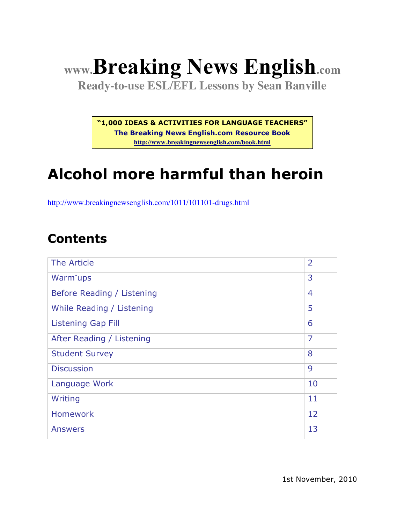# **www.Breaking News English.com**

**Ready-to-use ESL/EFL Lessons by Sean Banville**

**"1,000 IDEAS & ACTIVITIES FOR LANGUAGE TEACHERS"**

**The Breaking News English.com Resource Book http://www.breakingnewsenglish.com/book.html**

# **Alcohol more harmful than heroin**

http://www.breakingnewsenglish.com/1011/101101-drugs.html

#### **Contents**

| The Article                | $\overline{2}$ |
|----------------------------|----------------|
| Warm <sup>-</sup> ups      | 3              |
| Before Reading / Listening | $\overline{4}$ |
| While Reading / Listening  | 5              |
| <b>Listening Gap Fill</b>  | 6              |
| After Reading / Listening  | 7              |
| <b>Student Survey</b>      | 8              |
| <b>Discussion</b>          | 9              |
| Language Work              | 10             |
| Writing                    | 11             |
| <b>Homework</b>            | 12             |
| <b>Answers</b>             | 13             |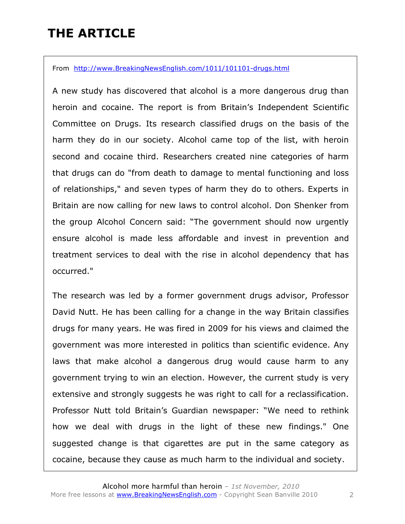### **THE ARTICLE**

From http://www.BreakingNewsEnglish.com/1011/101101-drugs.html

A new study has discovered that alcohol is a more dangerous drug than heroin and cocaine. The report is from Britain's Independent Scientific Committee on Drugs. Its research classified drugs on the basis of the harm they do in our society. Alcohol came top of the list, with heroin second and cocaine third. Researchers created nine categories of harm that drugs can do "from death to damage to mental functioning and loss of relationships," and seven types of harm they do to others. Experts in Britain are now calling for new laws to control alcohol. Don Shenker from the group Alcohol Concern said: "The government should now urgently ensure alcohol is made less affordable and invest in prevention and treatment services to deal with the rise in alcohol dependency that has occurred."

The research was led by a former government drugs advisor, Professor David Nutt. He has been calling for a change in the way Britain classifies drugs for many years. He was fired in 2009 for his views and claimed the government was more interested in politics than scientific evidence. Any laws that make alcohol a dangerous drug would cause harm to any government trying to win an election. However, the current study is very extensive and strongly suggests he was right to call for a reclassification. Professor Nutt told Britain's Guardian newspaper: "We need to rethink how we deal with drugs in the light of these new findings." One suggested change is that cigarettes are put in the same category as cocaine, because they cause as much harm to the individual and society.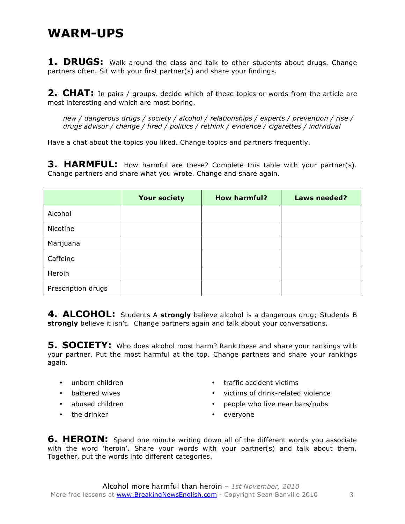#### **WARM-UPS**

**1. DRUGS:** Walk around the class and talk to other students about drugs. Change partners often. Sit with your first partner(s) and share your findings.

**2. CHAT:** In pairs / groups, decide which of these topics or words from the article are most interesting and which are most boring.

*new / dangerous drugs / society / alcohol / relationships / experts / prevention / rise / drugs advisor / change / fired / politics / rethink / evidence / cigarettes / individual*

Have a chat about the topics you liked. Change topics and partners frequently.

**3. HARMFUL:** How harmful are these? Complete this table with your partner(s). Change partners and share what you wrote. Change and share again.

|                    | <b>Your society</b> | <b>How harmful?</b> | Laws needed? |
|--------------------|---------------------|---------------------|--------------|
| Alcohol            |                     |                     |              |
| Nicotine           |                     |                     |              |
| Marijuana          |                     |                     |              |
| Caffeine           |                     |                     |              |
| Heroin             |                     |                     |              |
| Prescription drugs |                     |                     |              |

**4. ALCOHOL:** Students A **strongly** believe alcohol is a dangerous drug; Students B **strongly** believe it isn't. Change partners again and talk about your conversations.

**5. SOCIETY:** Who does alcohol most harm? Rank these and share your rankings with your partner. Put the most harmful at the top. Change partners and share your rankings again.

- unborn children
- battered wives
- abused children
- the drinker
- traffic accident victims
- victims of drink-related violence
- people who live near bars/pubs
- everyone

**6. HEROIN:** Spend one minute writing down all of the different words you associate with the word 'heroin'. Share your words with your partner(s) and talk about them. Together, put the words into different categories.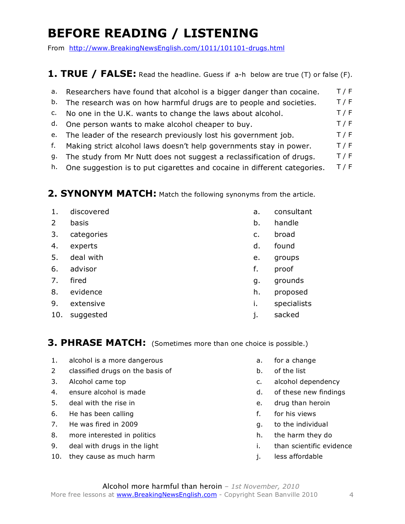## **BEFORE READING / LISTENING**

From http://www.BreakingNewsEnglish.com/1011/101101-drugs.html

#### **1. TRUE / FALSE:** Read the headline. Guess if a-h below are true (T) or false (F).

- a. Researchers have found that alcohol is a bigger danger than cocaine.  $T/F$ b. The research was on how harmful drugs are to people and societies.  $T/F$ c. No one in the U.K. wants to change the laws about alcohol.  $T/F$
- d. One person wants to make alcohol cheaper to buy. T/F
- e. The leader of the research previously lost his government job.  $T / F$
- f. Making strict alcohol laws doesn't help governments stay in power.  $T/F$
- g. The study from Mr Nutt does not suggest a reclassification of drugs.  $T/F$
- h. One suggestion is to put cigarettes and cocaine in different categories.  $T/F$

#### **2. SYNONYM MATCH:** Match the following synonyms from the article.

1. discovered a. consultant 2 basis b. handle 3. categories can be a series of the case of the case of the case of the case of the case of the case of the case of the case of the case of the case of the case of the case of the case of the case of the case of the case 4. experts d. found 5. deal with e. groups 6. advisor f. proof 7. fired g. grounds 8. evidence h. proposed 9. extensive i. specialists 10. suggested in the same state of the same state in the sacked in the sacked in the sacked

**3. PHRASE MATCH:** (Sometimes more than one choice is possible.)

- 1. alcohol is a more dangerous and the set of a change of the set of a change
- 2 classified drugs on the basis of help is the list b. of the list
- 
- 4. ensure alcohol is made density and the set of these new findings
- 5. deal with the rise in e. The rise in the rise in the control of the control of the drug than heroin
- 6. He has been calling for the same state of the for his views
- 7. He was fired in 2009 contract the individual to the individual
- 8. more interested in politics and the harm they do help harm they do
- 9. deal with drugs in the light importance i. than scientific evidence
- 10. they cause as much harm **interest and the set of the set of the set of the set of the set of the set of the set of the set of the set of the set of the set of the set of the set of the set of the set of the set of the**
- 
- 
- 3. Alcohol came top example and the control of the c. alcohol dependency
	-
	-
	-
	-
	-
	-
	-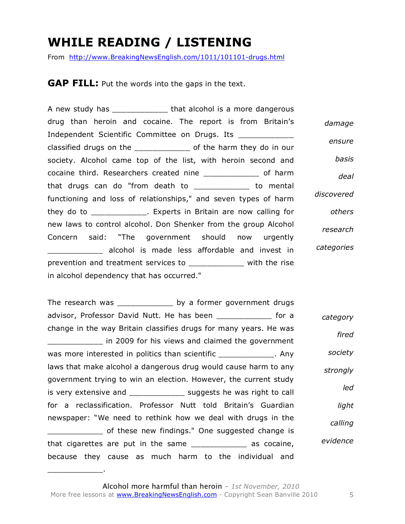### **WHILE READING / LISTENING**

From http://www.BreakingNewsEnglish.com/1011/101101-drugs.html

**GAP FILL:** Put the words into the gaps in the text.

A new study has **that alcohol** is a more dangerous drug than heroin and cocaine. The report is from Britain's Independent Scientific Committee on Drugs. Its classified drugs on the \_\_\_\_\_\_\_\_\_\_\_\_ of the harm they do in our society. Alcohol came top of the list, with heroin second and cocaine third. Researchers created nine \_\_\_\_\_\_\_\_\_\_\_\_ of harm that drugs can do "from death to \_\_\_\_\_\_\_\_\_\_\_\_ to mental functioning and loss of relationships," and seven types of harm they do to \_\_\_\_\_\_\_\_\_\_\_\_. Experts in Britain are now calling for new laws to control alcohol. Don Shenker from the group Alcohol Concern said: "The government should now urgently \_\_\_\_\_\_\_\_\_\_\_\_ alcohol is made less affordable and invest in prevention and treatment services to \_\_\_\_\_\_\_\_\_\_\_\_ with the rise in alcohol dependency that has occurred." *damage ensure basis deal discovered others research categories*

The research was \_\_\_\_\_\_\_\_\_\_\_\_\_\_\_ by a former government drugs advisor, Professor David Nutt. He has been for a change in the way Britain classifies drugs for many years. He was \_\_\_\_\_\_\_\_\_\_\_\_ in 2009 for his views and claimed the government was more interested in politics than scientific Theorem 2011. Any laws that make alcohol a dangerous drug would cause harm to any government trying to win an election. However, the current study is very extensive and \_\_\_\_\_\_\_\_\_\_\_\_\_ suggests he was right to call for a reclassification. Professor Nutt told Britain's Guardian newspaper: "We need to rethink how we deal with drugs in the of these new findings." One suggested change is that cigarettes are put in the same \_\_\_\_\_\_\_\_\_\_\_\_ as cocaine, because they cause as much harm to the individual and *category fired society strongly led light calling evidence*

 $\overline{\phantom{a}}$  , where  $\overline{\phantom{a}}$  , where  $\overline{\phantom{a}}$  , where  $\overline{\phantom{a}}$  , where  $\overline{\phantom{a}}$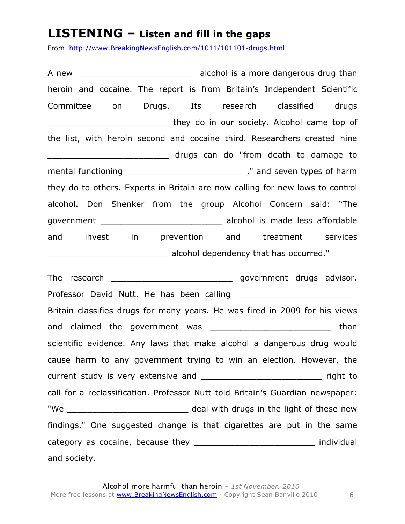#### **LISTENING – Listen and fill in the gaps**

From http://www.BreakingNewsEnglish.com/1011/101101-drugs.html

A new alcohol is a more dangerous drug than heroin and cocaine. The report is from Britain's Independent Scientific Committee on Drugs. Its research classified drugs \_\_\_\_\_\_\_\_\_\_\_\_\_\_\_\_\_\_\_\_\_\_\_\_ they do in our society. Alcohol came top of the list, with heroin second and cocaine third. Researchers created nine \_\_\_\_\_\_\_\_\_\_\_\_\_\_\_\_\_\_\_\_\_\_\_\_ drugs can do "from death to damage to mental functioning and seven types of harm they do to others. Experts in Britain are now calling for new laws to control alcohol. Don Shenker from the group Alcohol Concern said: "The government alcohol is made less affordable and invest in prevention and treatment services \_\_\_\_\_\_\_\_\_\_\_\_\_\_\_\_\_\_\_\_\_\_\_\_ alcohol dependency that has occurred."

The research \_\_\_\_\_\_\_\_\_\_\_\_\_\_\_\_\_\_\_\_\_\_\_\_ government drugs advisor, Professor David Nutt. He has been calling \_\_\_\_\_\_\_\_\_\_\_\_\_\_\_\_\_\_\_\_\_\_\_\_ Britain classifies drugs for many years. He was fired in 2009 for his views and claimed the government was \_\_\_\_\_\_\_\_\_\_\_\_\_\_\_\_\_\_\_\_\_\_\_\_\_\_\_\_\_\_ than scientific evidence. Any laws that make alcohol a dangerous drug would cause harm to any government trying to win an election. However, the current study is very extensive and **Exercise 2** right to call for a reclassification. Professor Nutt told Britain's Guardian newspaper: "We \_\_\_\_\_\_\_\_\_\_\_\_\_\_\_\_\_\_\_\_\_\_\_\_\_\_\_ deal with drugs in the light of these new findings." One suggested change is that cigarettes are put in the same category as cocaine, because they \_\_\_\_\_\_\_\_\_\_\_\_\_\_\_\_\_\_\_\_\_\_\_\_\_\_\_\_\_\_\_ individual and society.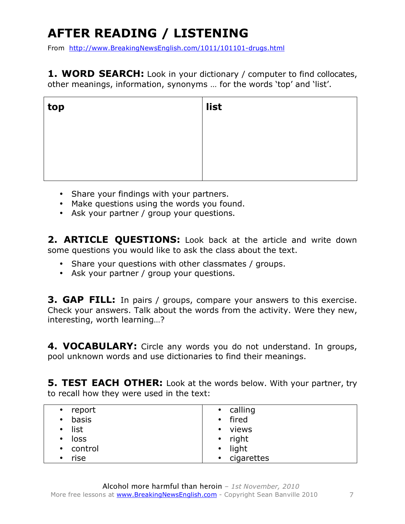# **AFTER READING / LISTENING**

From http://www.BreakingNewsEnglish.com/1011/101101-drugs.html

**1. WORD SEARCH:** Look in your dictionary / computer to find collocates, other meanings, information, synonyms … for the words 'top' and 'list'.

| top | $\vert$ list |
|-----|--------------|
|     |              |
|     |              |
|     |              |

- Share your findings with your partners.
- Make questions using the words you found.
- Ask your partner / group your questions.

2. **ARTICLE QUESTIONS:** Look back at the article and write down some questions you would like to ask the class about the text.

- Share your questions with other classmates / groups.
- Ask your partner / group your questions.

**3. GAP FILL:** In pairs / groups, compare your answers to this exercise. Check your answers. Talk about the words from the activity. Were they new, interesting, worth learning…?

**4. VOCABULARY:** Circle any words you do not understand. In groups, pool unknown words and use dictionaries to find their meanings.

**5. TEST EACH OTHER:** Look at the words below. With your partner, try to recall how they were used in the text:

| report<br>$\bullet$ | • calling          |
|---------------------|--------------------|
| basis<br>$\bullet$  | • fired            |
| list<br>$\bullet$   | • views            |
| loss<br>$\bullet$   | right<br>$\bullet$ |
| • control           | light<br>$\bullet$ |
| rise<br>$\bullet$   | • cigarettes       |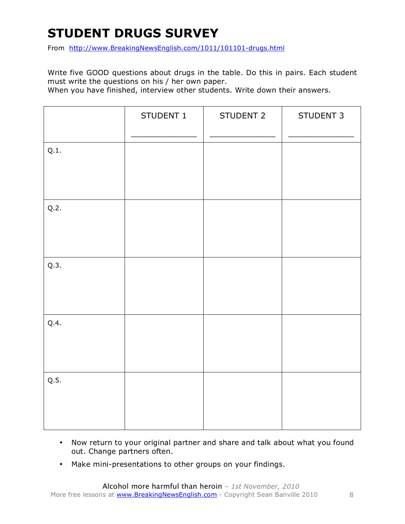## **STUDENT DRUGS SURVEY**

From http://www.BreakingNewsEnglish.com/1011/101101-drugs.html

Write five GOOD questions about drugs in the table. Do this in pairs. Each student must write the questions on his / her own paper.

When you have finished, interview other students. Write down their answers.

|      | STUDENT 1 | STUDENT 2 | STUDENT 3 |
|------|-----------|-----------|-----------|
| Q.1. |           |           |           |
| Q.2. |           |           |           |
| Q.3. |           |           |           |
| Q.4. |           |           |           |
| Q.5. |           |           |           |

- Now return to your original partner and share and talk about what you found out. Change partners often.
- Make mini-presentations to other groups on your findings.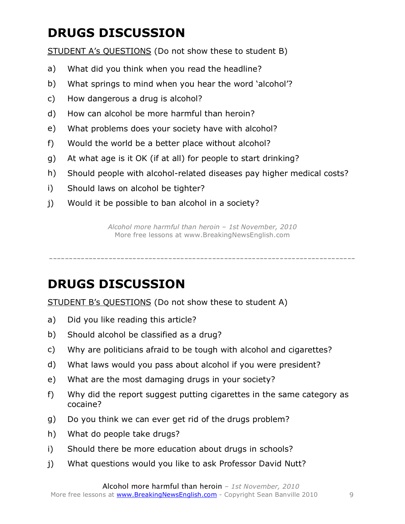## **DRUGS DISCUSSION**

STUDENT A's QUESTIONS (Do not show these to student B)

- a) What did you think when you read the headline?
- b) What springs to mind when you hear the word 'alcohol'?
- c) How dangerous a drug is alcohol?
- d) How can alcohol be more harmful than heroin?
- e) What problems does your society have with alcohol?
- f) Would the world be a better place without alcohol?
- g) At what age is it OK (if at all) for people to start drinking?
- h) Should people with alcohol-related diseases pay higher medical costs?
- i) Should laws on alcohol be tighter?
- j) Would it be possible to ban alcohol in a society?

*Alcohol more harmful than heroin – 1st November, 2010* More free lessons at www.BreakingNewsEnglish.com

-----------------------------------------------------------------------------

### **DRUGS DISCUSSION**

STUDENT B's QUESTIONS (Do not show these to student A)

- a) Did you like reading this article?
- b) Should alcohol be classified as a drug?
- c) Why are politicians afraid to be tough with alcohol and cigarettes?
- d) What laws would you pass about alcohol if you were president?
- e) What are the most damaging drugs in your society?
- f) Why did the report suggest putting cigarettes in the same category as cocaine?
- g) Do you think we can ever get rid of the drugs problem?
- h) What do people take drugs?
- i) Should there be more education about drugs in schools?
- j) What questions would you like to ask Professor David Nutt?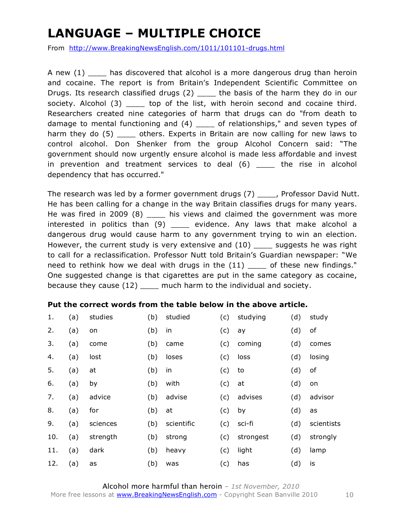## **LANGUAGE – MULTIPLE CHOICE**

From http://www.BreakingNewsEnglish.com/1011/101101-drugs.html

A new (1) has discovered that alcohol is a more dangerous drug than heroin and cocaine. The report is from Britain's Independent Scientific Committee on Drugs. Its research classified drugs (2) \_\_\_\_ the basis of the harm they do in our society. Alcohol (3) \_\_\_\_\_ top of the list, with heroin second and cocaine third. Researchers created nine categories of harm that drugs can do "from death to damage to mental functioning and (4) \_\_\_\_ of relationships," and seven types of harm they do (5) dthers. Experts in Britain are now calling for new laws to control alcohol. Don Shenker from the group Alcohol Concern said: "The government should now urgently ensure alcohol is made less affordable and invest in prevention and treatment services to deal (6) be the rise in alcohol dependency that has occurred."

The research was led by a former government drugs (7) Frofessor David Nutt. He has been calling for a change in the way Britain classifies drugs for many years. He was fired in 2009 (8) \_\_\_\_\_ his views and claimed the government was more interested in politics than (9) \_\_\_\_\_ evidence. Any laws that make alcohol a dangerous drug would cause harm to any government trying to win an election. However, the current study is very extensive and (10) \_\_\_\_\_ suggests he was right to call for a reclassification. Professor Nutt told Britain's Guardian newspaper: "We need to rethink how we deal with drugs in the (11) \_\_\_\_ of these new findings." One suggested change is that cigarettes are put in the same category as cocaine, because they cause (12) \_\_\_\_ much harm to the individual and society.

#### **Put the correct words from the table below in the above article.**

| 1.  | (a) | studies  | (b) | studied    | (c) | studying  | (d) | study      |
|-----|-----|----------|-----|------------|-----|-----------|-----|------------|
| 2.  | (a) | on       | (b) | in         | (c) | ay        | (d) | of         |
| 3.  | (a) | come     | (b) | came       | (c) | coming    | (d) | comes      |
| 4.  | (a) | lost     | (b) | loses      | (c) | loss      | (d) | losing     |
| 5.  | (a) | at       | (b) | in         | (c) | to        | (d) | of         |
| 6.  | (a) | by       | (b) | with       | (c) | at        | (d) | on         |
| 7.  | (a) | advice   | (b) | advise     | (c) | advises   | (d) | advisor    |
| 8.  | (a) | for      | (b) | at         | (c) | by        | (d) | as         |
| 9.  | (a) | sciences | (b) | scientific | (c) | sci-fi    | (d) | scientists |
| 10. | (a) | strength | (b) | strong     | (c) | strongest | (d) | strongly   |
| 11. | (a) | dark     | (b) | heavy      | (c) | light     | (d) | lamp       |
| 12. | (a) | as       | (b) | was        | (c) | has       | (d) | is         |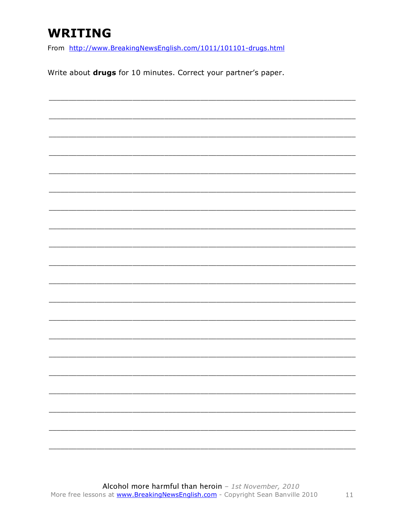### **WRITING**

From http://www.BreakingNewsEnglish.com/1011/101101-drugs.html

Write about drugs for 10 minutes. Correct your partner's paper.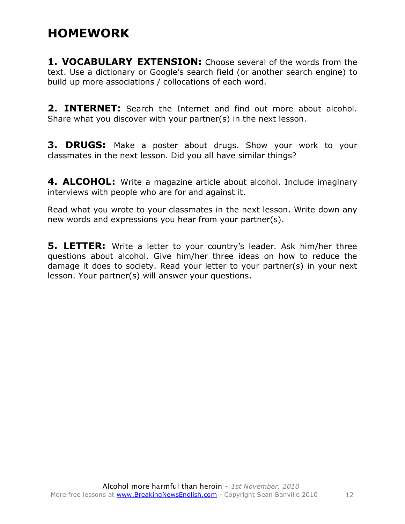### **HOMEWORK**

**1. VOCABULARY EXTENSION:** Choose several of the words from the text. Use a dictionary or Google's search field (or another search engine) to build up more associations / collocations of each word.

**2. INTERNET:** Search the Internet and find out more about alcohol. Share what you discover with your partner(s) in the next lesson.

**3. DRUGS:** Make a poster about drugs. Show your work to your classmates in the next lesson. Did you all have similar things?

**4. ALCOHOL:** Write a magazine article about alcohol. Include imaginary interviews with people who are for and against it.

Read what you wrote to your classmates in the next lesson. Write down any new words and expressions you hear from your partner(s).

**5. LETTER:** Write a letter to your country's leader. Ask him/her three questions about alcohol. Give him/her three ideas on how to reduce the damage it does to society. Read your letter to your partner(s) in your next lesson. Your partner(s) will answer your questions.